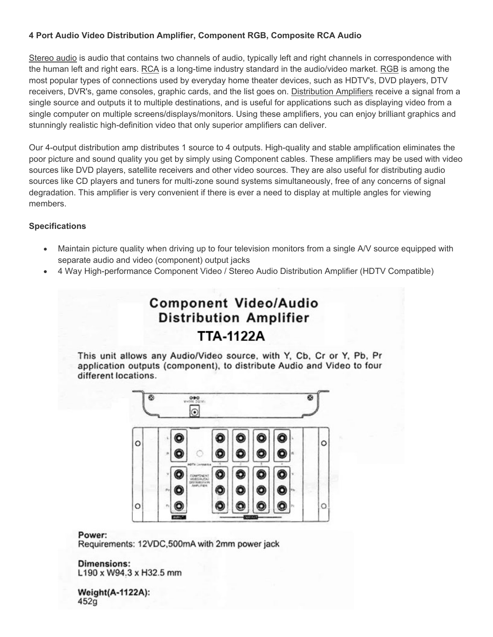## **4 Port Audio Video Distribution Amplifier, Component RGB, Composite RCA Audio**

Stereo audio is audio that contains two channels of audio, typically left and right channels in correspondence with the human left and right ears. RCA is a long-time industry standard in the audio/video market. RGB is among the most popular types of connections used by everyday home theater devices, such as HDTV's, DVD players, DTV receivers, DVR's, game consoles, graphic cards, and the list goes on. Distribution Amplifiers receive a signal from a single source and outputs it to multiple destinations, and is useful for applications such as displaying video from a single computer on multiple screens/displays/monitors. Using these amplifiers, you can enjoy brilliant graphics and stunningly realistic high-definition video that only superior amplifiers can deliver.

Our 4-output distribution amp distributes 1 source to 4 outputs. High-quality and stable amplification eliminates the poor picture and sound quality you get by simply using Component cables. These amplifiers may be used with video sources like DVD players, satellite receivers and other video sources. They are also useful for distributing audio sources like CD players and tuners for multi-zone sound systems simultaneously, free of any concerns of signal degradation. This amplifier is very convenient if there is ever a need to display at multiple angles for viewing members.

### **Specifications**

- Maintain picture quality when driving up to four television monitors from a single A/V source equipped with separate audio and video (component) output jacks
- 4 Way High-performance Component Video / Stereo Audio Distribution Amplifier (HDTV Compatible)

# **Component Video/Audio Distribution Amplifier** TTA-1122A

This unit allows any Audio/Video source, with Y, Cb, Cr or Y, Pb, Pr application outputs (component), to distribute Audio and Video to four different locations.



#### Power:

Requirements: 12VDC,500mA with 2mm power jack

**Dimensions:** L190 x W94.3 x H32.5 mm

Weight(A-1122A):  $452g$